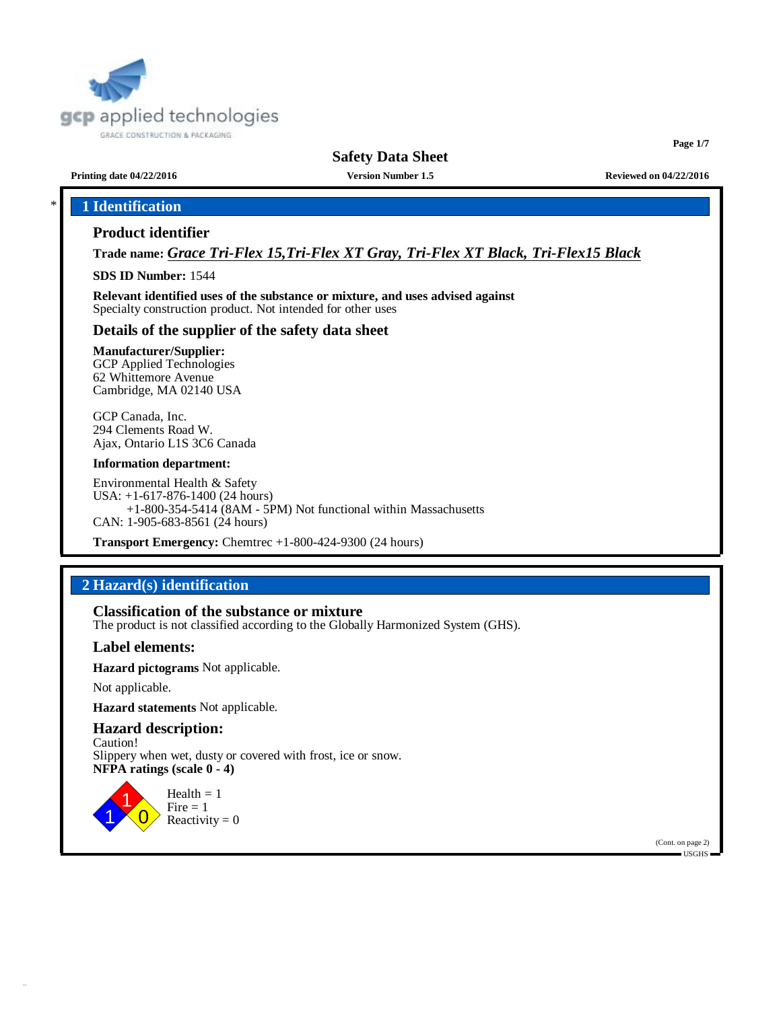

**Page 1/7**

**Printing date 04/22/2016 Version Number 1.5 Reviewed on 04/22/2016**

# \* **1 Identification**

#### **Product identifier**

**Trade name:** *Grace Tri-Flex 15,Tri-Flex XT Gray, Tri-Flex XT Black, Tri-Flex15 Black*

**SDS ID Number:** 1544

**Relevant identified uses of the substance or mixture, and uses advised against** Specialty construction product. Not intended for other uses

#### **Details of the supplier of the safety data sheet**

#### **Manufacturer/Supplier:**

GCP Applied Technologies 62 Whittemore Avenue Cambridge, MA 02140 USA

GCP Canada, Inc. 294 Clements Road W. Ajax, Ontario L1S 3C6 Canada

#### **Information department:**

Environmental Health & Safety USA: +1-617-876-1400 (24 hours) +1-800-354-5414 (8AM - 5PM) Not functional within Massachusetts CAN: 1-905-683-8561 (24 hours)

**Transport Emergency:** Chemtrec +1-800-424-9300 (24 hours)

# **2 Hazard(s) identification**

**Classification of the substance or mixture**

The product is not classified according to the Globally Harmonized System (GHS).

#### **Label elements:**

**Hazard pictograms** Not applicable.

Not applicable.

**Hazard statements** Not applicable.

### **Hazard description:**

Caution! Slippery when wet, dusty or covered with frost, ice or snow. **NFPA ratings (scale 0 - 4)**



(Cont. on page 2) USGHS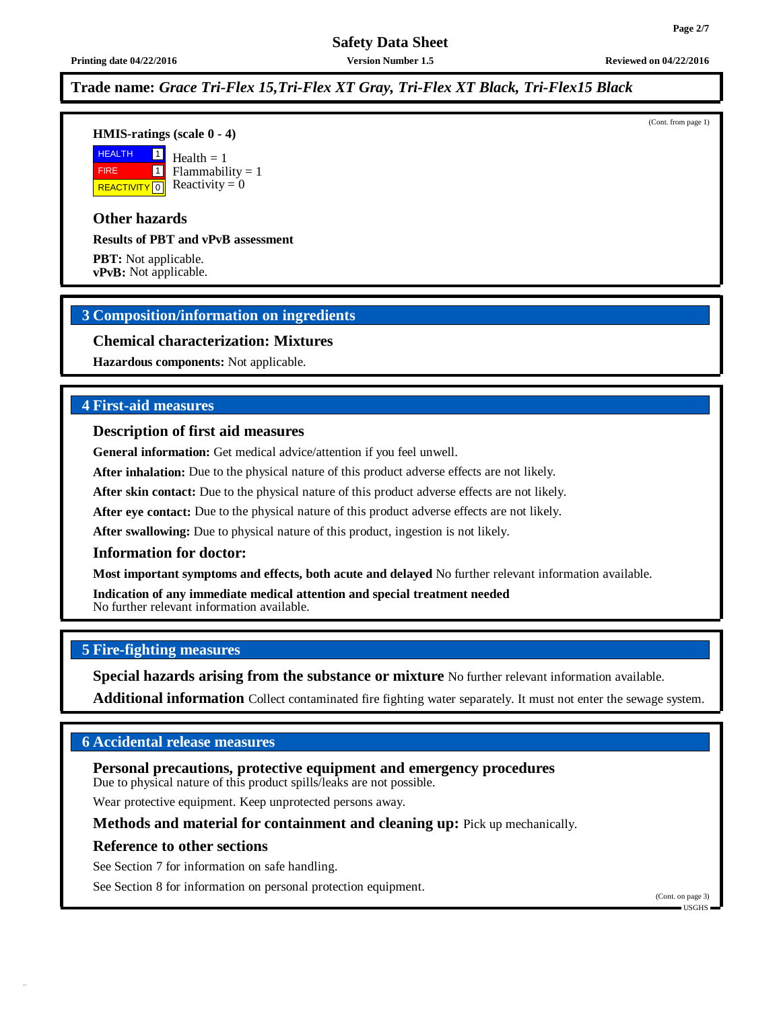**Printing date 04/22/2016 Version Number 1.5 Reviewed on 04/22/2016**

# **Trade name:** *Grace Tri-Flex 15,Tri-Flex XT Gray, Tri-Flex XT Black, Tri-Flex15 Black*

**HMIS-ratings (scale 0 - 4)**

 HEALTH FIRE **REACTIVITY** 0 1 1  $Health = 1$  $Flammability = 1$ Reactivity  $= 0$ 

### **Other hazards**

**Results of PBT and vPvB assessment**

**PBT:** Not applicable. **vPvB:** Not applicable.

# **3 Composition/information on ingredients**

#### **Chemical characterization: Mixtures**

**Hazardous components:** Not applicable.

# **4 First-aid measures**

#### **Description of first aid measures**

**General information:** Get medical advice/attention if you feel unwell.

**After inhalation:** Due to the physical nature of this product adverse effects are not likely.

**After skin contact:** Due to the physical nature of this product adverse effects are not likely.

**After eye contact:** Due to the physical nature of this product adverse effects are not likely.

**After swallowing:** Due to physical nature of this product, ingestion is not likely.

#### **Information for doctor:**

**Most important symptoms and effects, both acute and delayed** No further relevant information available.

**Indication of any immediate medical attention and special treatment needed** No further relevant information available.

#### **5 Fire-fighting measures**

**Special hazards arising from the substance or mixture** No further relevant information available.

**Additional information** Collect contaminated fire fighting water separately. It must not enter the sewage system.

# **6 Accidental release measures**

**Personal precautions, protective equipment and emergency procedures** Due to physical nature of this product spills/leaks are not possible.

Wear protective equipment. Keep unprotected persons away.

**Methods and material for containment and cleaning up:** Pick up mechanically.

#### **Reference to other sections**

See Section 7 for information on safe handling.

See Section 8 for information on personal protection equipment.

(Cont. from page 1)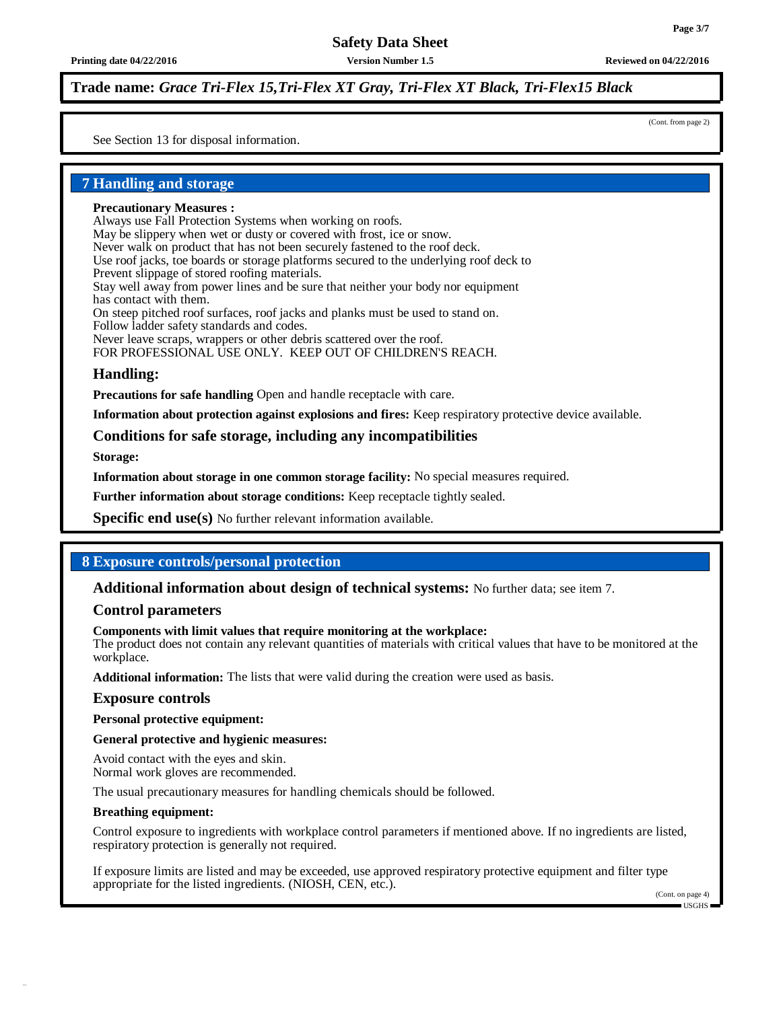**Printing date 04/22/2016 Version Number 1.5 Reviewed on 04/22/2016**

# **Trade name:** *Grace Tri-Flex 15,Tri-Flex XT Gray, Tri-Flex XT Black, Tri-Flex15 Black*

(Cont. from page 2)

See Section 13 for disposal information.

# **7 Handling and storage**

#### **Precautionary Measures :**

Always use Fall Protection Systems when working on roofs.

May be slippery when wet or dusty or covered with frost, ice or snow.

Never walk on product that has not been securely fastened to the roof deck.

Use roof jacks, toe boards or storage platforms secured to the underlying roof deck to

Prevent slippage of stored roofing materials.

Stay well away from power lines and be sure that neither your body nor equipment has contact with them.

On steep pitched roof surfaces, roof jacks and planks must be used to stand on.

Follow ladder safety standards and codes.

Never leave scraps, wrappers or other debris scattered over the roof.

FOR PROFESSIONAL USE ONLY. KEEP OUT OF CHILDREN'S REACH.

#### **Handling:**

**Precautions for safe handling** Open and handle receptacle with care.

**Information about protection against explosions and fires:** Keep respiratory protective device available.

#### **Conditions for safe storage, including any incompatibilities**

**Storage:**

**Information about storage in one common storage facility:** No special measures required.

**Further information about storage conditions:** Keep receptacle tightly sealed.

**Specific end use(s)** No further relevant information available.

# **8 Exposure controls/personal protection**

#### **Additional information about design of technical systems:** No further data; see item 7.

#### **Control parameters**

#### **Components with limit values that require monitoring at the workplace:**

The product does not contain any relevant quantities of materials with critical values that have to be monitored at the workplace.

**Additional information:** The lists that were valid during the creation were used as basis.

#### **Exposure controls**

**Personal protective equipment:**

**General protective and hygienic measures:**

Avoid contact with the eyes and skin. Normal work gloves are recommended.

The usual precautionary measures for handling chemicals should be followed.

#### **Breathing equipment:**

Control exposure to ingredients with workplace control parameters if mentioned above. If no ingredients are listed, respiratory protection is generally not required.

If exposure limits are listed and may be exceeded, use approved respiratory protective equipment and filter type appropriate for the listed ingredients. (NIOSH, CEN, etc.).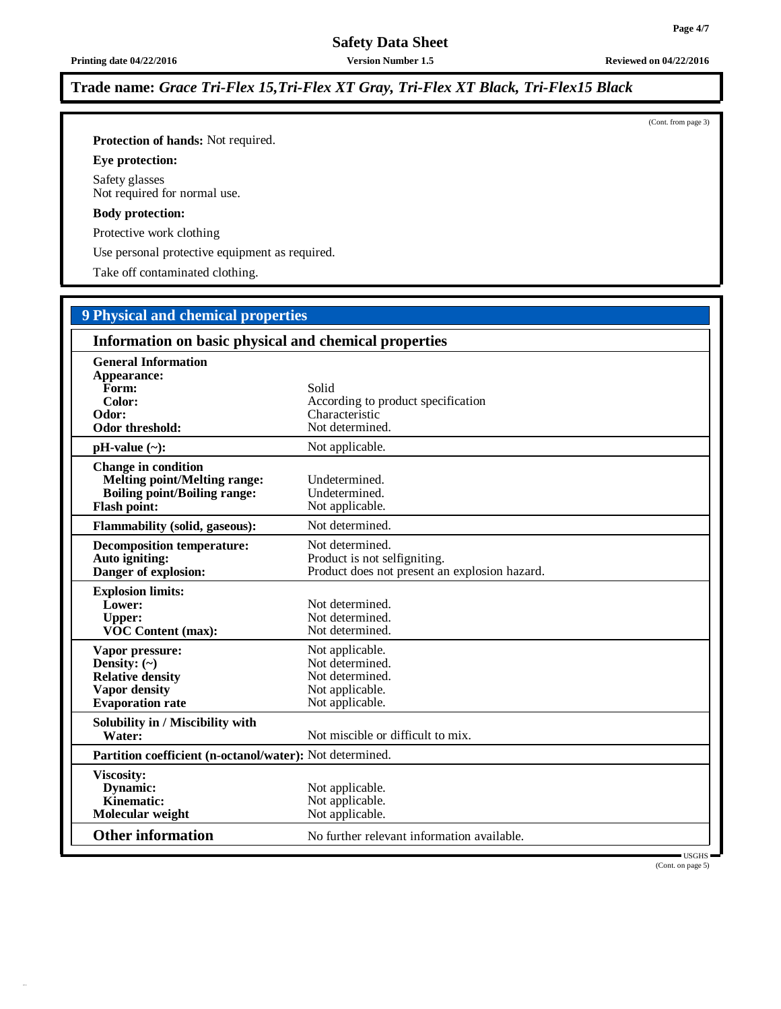**Printing date 04/22/2016 Version Number 1.5 Reviewed on 04/22/2016**

# **Trade name:** *Grace Tri-Flex 15,Tri-Flex XT Gray, Tri-Flex XT Black, Tri-Flex15 Black*

**Protection of hands:** Not required.

**Eye protection:**

Safety glasses Not required for normal use.

#### **Body protection:**

Protective work clothing

Use personal protective equipment as required.

Take off contaminated clothing.

# **9 Physical and chemical properties**

| Information on basic physical and chemical properties                                                                           |                                                                                                  |  |
|---------------------------------------------------------------------------------------------------------------------------------|--------------------------------------------------------------------------------------------------|--|
| <b>General Information</b><br>Appearance:<br>Form:<br>Color:                                                                    | Solid<br>According to product specification                                                      |  |
| Odor:<br><b>Odor threshold:</b>                                                                                                 | Characteristic<br>Not determined.                                                                |  |
| $pH-value$ (~):                                                                                                                 | Not applicable.                                                                                  |  |
| <b>Change in condition</b><br><b>Melting point/Melting range:</b><br><b>Boiling point/Boiling range:</b><br><b>Flash point:</b> | Undetermined.<br>Undetermined.<br>Not applicable.                                                |  |
| <b>Flammability (solid, gaseous):</b>                                                                                           | Not determined.                                                                                  |  |
| <b>Decomposition temperature:</b><br>Auto igniting:<br>Danger of explosion:                                                     | Not determined.<br>Product is not selfigniting.<br>Product does not present an explosion hazard. |  |
| <b>Explosion limits:</b><br>Lower:<br><b>Upper:</b><br><b>VOC Content (max):</b>                                                | Not determined.<br>Not determined.<br>Not determined.                                            |  |
| Vapor pressure:<br>Density: $(\sim)$<br><b>Relative density</b><br><b>Vapor density</b><br><b>Evaporation</b> rate              | Not applicable.<br>Not determined.<br>Not determined.<br>Not applicable.<br>Not applicable.      |  |
| Solubility in / Miscibility with<br>Water:                                                                                      | Not miscible or difficult to mix.                                                                |  |
| Partition coefficient (n-octanol/water): Not determined.                                                                        |                                                                                                  |  |
| <b>Viscosity:</b><br>Dynamic:<br>Kinematic:<br>Molecular weight                                                                 | Not applicable.<br>Not applicable.<br>Not applicable.                                            |  |
| <b>Other information</b>                                                                                                        | No further relevant information available.                                                       |  |

USGHS (Cont. on page 5)

(Cont. from page 3)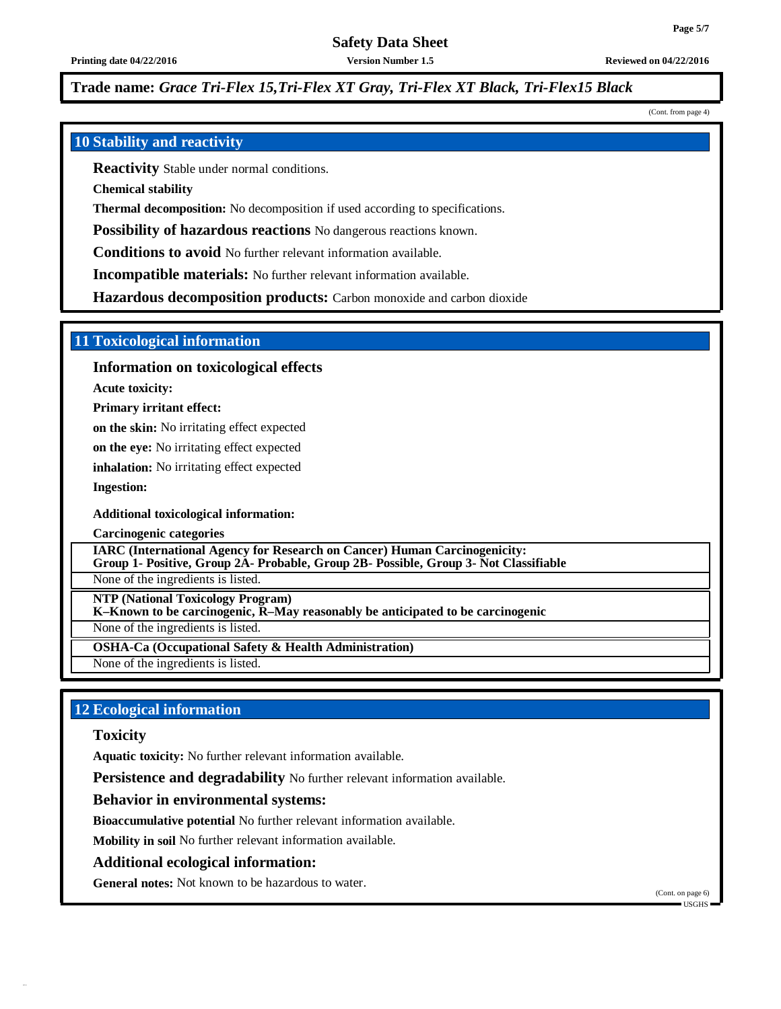**Printing date 04/22/2016 Version Number 1.5 Reviewed on 04/22/2016**

# **Trade name:** *Grace Tri-Flex 15,Tri-Flex XT Gray, Tri-Flex XT Black, Tri-Flex15 Black*

(Cont. from page 4)

# **10 Stability and reactivity**

**Reactivity** Stable under normal conditions.

**Chemical stability**

**Thermal decomposition:** No decomposition if used according to specifications.

**Possibility of hazardous reactions** No dangerous reactions known.

**Conditions to avoid** No further relevant information available.

**Incompatible materials:** No further relevant information available.

**Hazardous decomposition products:** Carbon monoxide and carbon dioxide

#### **11 Toxicological information**

**Information on toxicological effects**

**Acute toxicity:**

**Primary irritant effect:**

**on the skin:** No irritating effect expected

**on the eye:** No irritating effect expected

**inhalation:** No irritating effect expected

**Ingestion:**

**Additional toxicological information:**

**Carcinogenic categories**

**IARC (International Agency for Research on Cancer) Human Carcinogenicity:**

**Group 1- Positive, Group 2A- Probable, Group 2B- Possible, Group 3- Not Classifiable** None of the ingredients is listed.

**NTP (National Toxicology Program)**

**K–Known to be carcinogenic, R–May reasonably be anticipated to be carcinogenic**

None of the ingredients is listed.

**OSHA-Ca (Occupational Safety & Health Administration)**

None of the ingredients is listed.

# **12 Ecological information**

#### **Toxicity**

**Aquatic toxicity:** No further relevant information available.

**Persistence and degradability** No further relevant information available.

#### **Behavior in environmental systems:**

**Bioaccumulative potential** No further relevant information available.

**Mobility in soil** No further relevant information available.

#### **Additional ecological information:**

**General notes:** Not known to be hazardous to water.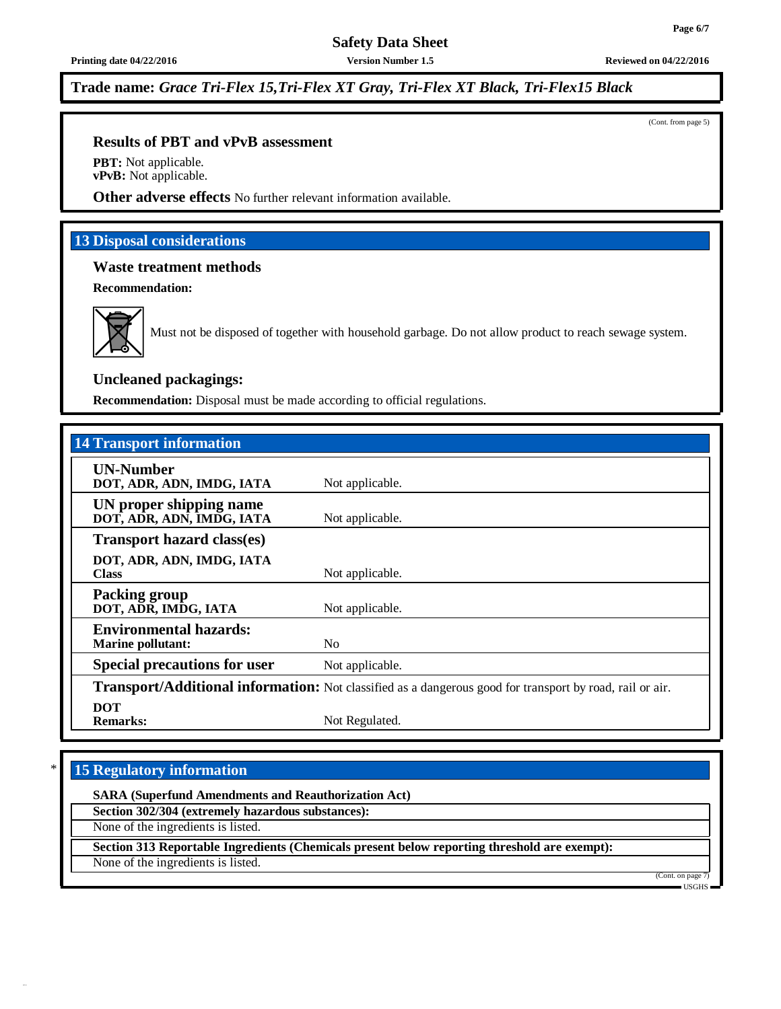**Trade name:** *Grace Tri-Flex 15,Tri-Flex XT Gray, Tri-Flex XT Black, Tri-Flex15 Black*

(Cont. from page 5)

**Page 6/7**

#### **Results of PBT and vPvB assessment**

**PBT:** Not applicable. **vPvB:** Not applicable.

**Other adverse effects** No further relevant information available.

# **13 Disposal considerations**

### **Waste treatment methods**

**Recommendation:**



Must not be disposed of together with household garbage. Do not allow product to reach sewage system.

### **Uncleaned packagings:**

**Recommendation:** Disposal must be made according to official regulations.

| <b>14 Transport information</b>                           |                                                                                                          |
|-----------------------------------------------------------|----------------------------------------------------------------------------------------------------------|
| <b>UN-Number</b><br>DOT, ADR, ADN, IMDG, IATA             | Not applicable.                                                                                          |
| UN proper shipping name<br>DOT, ADR, ADN, IMDG, IATA      | Not applicable.                                                                                          |
| <b>Transport hazard class(es)</b>                         |                                                                                                          |
| DOT, ADR, ADN, IMDG, IATA<br><b>Class</b>                 | Not applicable.                                                                                          |
| <b>Packing group</b><br>DOT, ADR, IMDG, IATA              | Not applicable.                                                                                          |
| <b>Environmental hazards:</b><br><b>Marine pollutant:</b> | N <sub>0</sub>                                                                                           |
| <b>Special precautions for user</b>                       | Not applicable.                                                                                          |
|                                                           | Transport/Additional information: Not classified as a dangerous good for transport by road, rail or air. |
| <b>DOT</b><br><b>Remarks:</b>                             | Not Regulated.                                                                                           |

# \* **15 Regulatory information**

**SARA (Superfund Amendments and Reauthorization Act)**

**Section 302/304 (extremely hazardous substances):**

None of the ingredients is listed.

**Section 313 Reportable Ingredients (Chemicals present below reporting threshold are exempt):**

None of the ingredients is listed.

(Cont. on page 7) USGHS